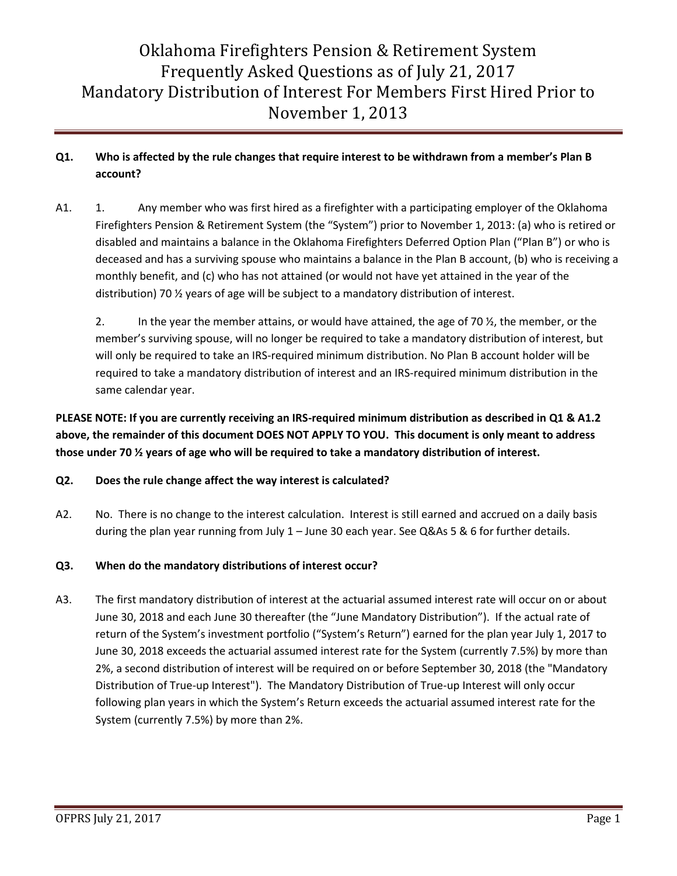### **Q1. Who is affected by the rule changes that require interest to be withdrawn from a member's Plan B account?**

A1. 1. Any member who was first hired as a firefighter with a participating employer of the Oklahoma Firefighters Pension & Retirement System (the "System") prior to November 1, 2013: (a) who is retired or disabled and maintains a balance in the Oklahoma Firefighters Deferred Option Plan ("Plan B") or who is deceased and has a surviving spouse who maintains a balance in the Plan B account, (b) who is receiving a monthly benefit, and (c) who has not attained (or would not have yet attained in the year of the distribution) 70 ½ years of age will be subject to a mandatory distribution of interest.

2. In the year the member attains, or would have attained, the age of 70  $\frac{1}{2}$ , the member, or the member's surviving spouse, will no longer be required to take a mandatory distribution of interest, but will only be required to take an IRS-required minimum distribution. No Plan B account holder will be required to take a mandatory distribution of interest and an IRS-required minimum distribution in the same calendar year.

**PLEASE NOTE: If you are currently receiving an IRS-required minimum distribution as described in Q1 & A1.2 above, the remainder of this document DOES NOT APPLY TO YOU. This document is only meant to address those under 70 ½ years of age who will be required to take a mandatory distribution of interest.**

### **Q2. Does the rule change affect the way interest is calculated?**

A2. No. There is no change to the interest calculation. Interest is still earned and accrued on a daily basis during the plan year running from July 1 – June 30 each year. See Q&As 5 & 6 for further details.

### **Q3. When do the mandatory distributions of interest occur?**

A3. The first mandatory distribution of interest at the actuarial assumed interest rate will occur on or about June 30, 2018 and each June 30 thereafter (the "June Mandatory Distribution"). If the actual rate of return of the System's investment portfolio ("System's Return") earned for the plan year July 1, 2017 to June 30, 2018 exceeds the actuarial assumed interest rate for the System (currently 7.5%) by more than 2%, a second distribution of interest will be required on or before September 30, 2018 (the "Mandatory Distribution of True-up Interest"). The Mandatory Distribution of True-up Interest will only occur following plan years in which the System's Return exceeds the actuarial assumed interest rate for the System (currently 7.5%) by more than 2%.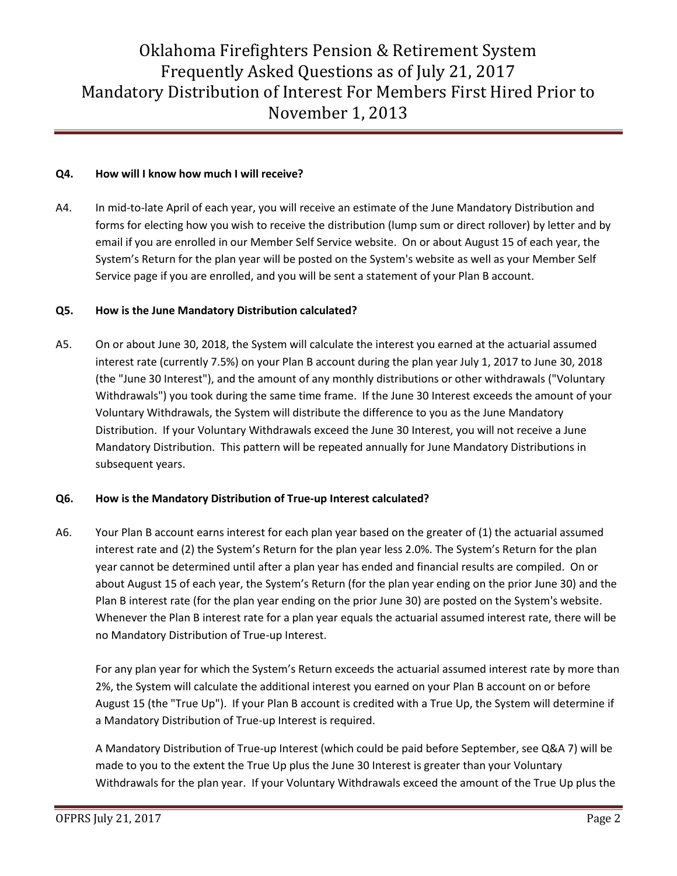### **Q4. How will I know how much I will receive?**

A4. In mid-to-late April of each year, you will receive an estimate of the June Mandatory Distribution and forms for electing how you wish to receive the distribution (lump sum or direct rollover) by letter and by email if you are enrolled in our Member Self Service website. On or about August 15 of each year, the System's Return for the plan year will be posted on the System's website as well as your Member Self Service page if you are enrolled, and you will be sent a statement of your Plan B account.

#### **Q5. How is the June Mandatory Distribution calculated?**

A5. On or about June 30, 2018, the System will calculate the interest you earned at the actuarial assumed interest rate (currently 7.5%) on your Plan B account during the plan year July 1, 2017 to June 30, 2018 (the "June 30 Interest"), and the amount of any monthly distributions or other withdrawals ("Voluntary Withdrawals") you took during the same time frame. If the June 30 Interest exceeds the amount of your Voluntary Withdrawals, the System will distribute the difference to you as the June Mandatory Distribution. If your Voluntary Withdrawals exceed the June 30 Interest, you will not receive a June Mandatory Distribution. This pattern will be repeated annually for June Mandatory Distributions in subsequent years.

### **Q6. How is the Mandatory Distribution of True-up Interest calculated?**

A6. Your Plan B account earns interest for each plan year based on the greater of (1) the actuarial assumed interest rate and (2) the System's Return for the plan year less 2.0%. The System's Return for the plan year cannot be determined until after a plan year has ended and financial results are compiled. On or about August 15 of each year, the System's Return (for the plan year ending on the prior June 30) and the Plan B interest rate (for the plan year ending on the prior June 30) are posted on the System's website. Whenever the Plan B interest rate for a plan year equals the actuarial assumed interest rate, there will be no Mandatory Distribution of True-up Interest.

For any plan year for which the System's Return exceeds the actuarial assumed interest rate by more than 2%, the System will calculate the additional interest you earned on your Plan B account on or before August 15 (the "True Up"). If your Plan B account is credited with a True Up, the System will determine if a Mandatory Distribution of True-up Interest is required.

A Mandatory Distribution of True-up Interest (which could be paid before September, see Q&A 7) will be made to you to the extent the True Up plus the June 30 Interest is greater than your Voluntary Withdrawals for the plan year. If your Voluntary Withdrawals exceed the amount of the True Up plus the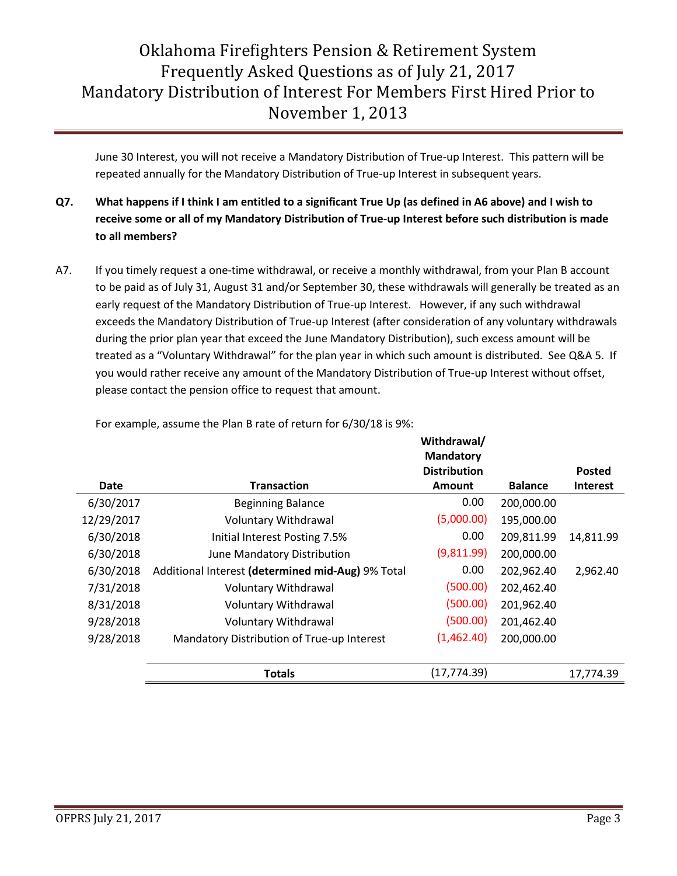June 30 Interest, you will not receive a Mandatory Distribution of True-up Interest. This pattern will be repeated annually for the Mandatory Distribution of True-up Interest in subsequent years.

- **Q7. What happens if I think I am entitled to a significant True Up (as defined in A6 above) and I wish to receive some or all of my Mandatory Distribution of True-up Interest before such distribution is made to all members?**
- A7. If you timely request a one-time withdrawal, or receive a monthly withdrawal, from your Plan B account to be paid as of July 31, August 31 and/or September 30, these withdrawals will generally be treated as an early request of the Mandatory Distribution of True-up Interest. However, if any such withdrawal exceeds the Mandatory Distribution of True-up Interest (after consideration of any voluntary withdrawals during the prior plan year that exceed the June Mandatory Distribution), such excess amount will be treated as a "Voluntary Withdrawal" for the plan year in which such amount is distributed. See Q&A 5. If you would rather receive any amount of the Mandatory Distribution of True-up Interest without offset, please contact the pension office to request that amount.

|             |                                                   | Withdrawal/         |                |                 |
|-------------|---------------------------------------------------|---------------------|----------------|-----------------|
|             |                                                   | <b>Mandatory</b>    |                |                 |
|             |                                                   | <b>Distribution</b> |                | <b>Posted</b>   |
| <b>Date</b> | <b>Transaction</b>                                | <b>Amount</b>       | <b>Balance</b> | <b>Interest</b> |
| 6/30/2017   | <b>Beginning Balance</b>                          | 0.00                | 200,000.00     |                 |
| 12/29/2017  | <b>Voluntary Withdrawal</b>                       | (5,000.00)          | 195,000.00     |                 |
| 6/30/2018   | Initial Interest Posting 7.5%                     | 0.00                | 209,811.99     | 14,811.99       |
| 6/30/2018   | June Mandatory Distribution                       | (9,811.99)          | 200,000.00     |                 |
| 6/30/2018   | Additional Interest (determined mid-Aug) 9% Total | 0.00                | 202,962.40     | 2,962.40        |
| 7/31/2018   | Voluntary Withdrawal                              | (500.00)            | 202,462.40     |                 |
| 8/31/2018   | Voluntary Withdrawal                              | (500.00)            | 201,962.40     |                 |
| 9/28/2018   | Voluntary Withdrawal                              | (500.00)            | 201,462.40     |                 |
| 9/28/2018   | Mandatory Distribution of True-up Interest        | (1,462.40)          | 200,000.00     |                 |
|             |                                                   |                     |                |                 |
|             | <b>Totals</b>                                     | (17, 774.39)        |                | 17,774.39       |

For example, assume the Plan B rate of return for 6/30/18 is 9%: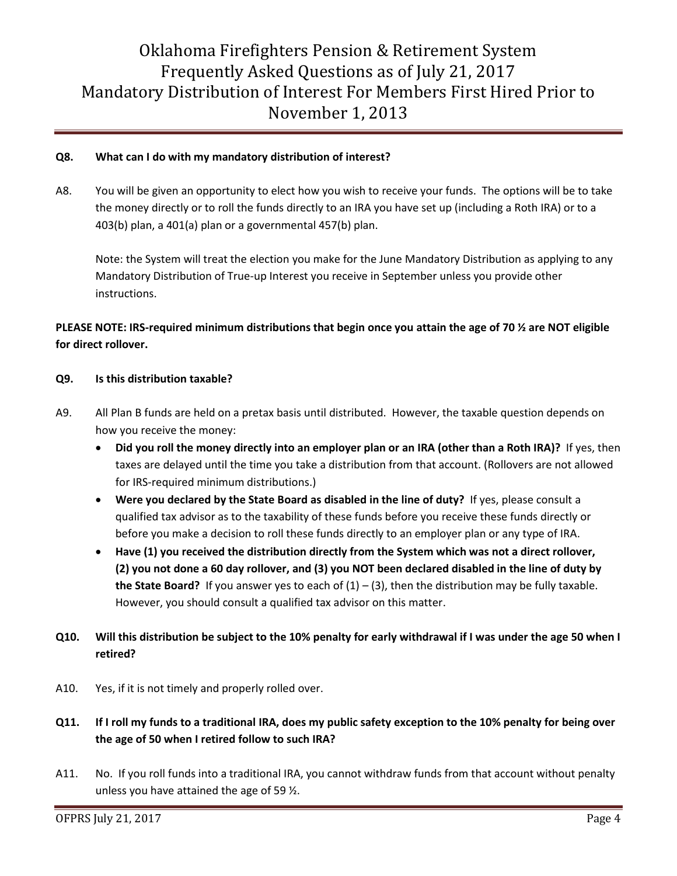### **Q8. What can I do with my mandatory distribution of interest?**

A8. You will be given an opportunity to elect how you wish to receive your funds. The options will be to take the money directly or to roll the funds directly to an IRA you have set up (including a Roth IRA) or to a 403(b) plan, a 401(a) plan or a governmental 457(b) plan.

Note: the System will treat the election you make for the June Mandatory Distribution as applying to any Mandatory Distribution of True-up Interest you receive in September unless you provide other instructions.

### **PLEASE NOTE: IRS-required minimum distributions that begin once you attain the age of 70 ½ are NOT eligible for direct rollover.**

#### **Q9. Is this distribution taxable?**

- A9. All Plan B funds are held on a pretax basis until distributed. However, the taxable question depends on how you receive the money:
	- **Did you roll the money directly into an employer plan or an IRA (other than a Roth IRA)?** If yes, then taxes are delayed until the time you take a distribution from that account. (Rollovers are not allowed for IRS-required minimum distributions.)
	- **Were you declared by the State Board as disabled in the line of duty?** If yes, please consult a qualified tax advisor as to the taxability of these funds before you receive these funds directly or before you make a decision to roll these funds directly to an employer plan or any type of IRA.
	- **Have (1) you received the distribution directly from the System which was not a direct rollover, (2) you not done a 60 day rollover, and (3) you NOT been declared disabled in the line of duty by the State Board?** If you answer yes to each of  $(1) - (3)$ , then the distribution may be fully taxable. However, you should consult a qualified tax advisor on this matter.
- **Q10. Will this distribution be subject to the 10% penalty for early withdrawal if I was under the age 50 when I retired?**
- A10. Yes, if it is not timely and properly rolled over.
- **Q11. If I roll my funds to a traditional IRA, does my public safety exception to the 10% penalty for being over the age of 50 when I retired follow to such IRA?**
- A11. No. If you roll funds into a traditional IRA, you cannot withdraw funds from that account without penalty unless you have attained the age of 59  $\frac{1}{2}$ .